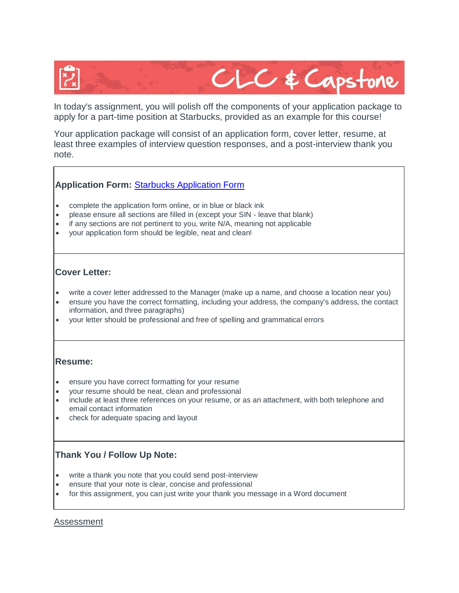

In today's assignment, you will polish off the components of your application package to apply for a part-time position at Starbucks, provided as an example for this course!

Your application package will consist of an application form, cover letter, resume, at least three examples of interview question responses, and a post-interview thank you note.

## **Application Form:** [Starbucks Application Form](https://comoxvalleyschools.instructure.com/courses/856/files/398987/download?verifier=hnREHLGhxIrhhiwTUg4N5YetSx0oDz3HGAQbMQhw&wrap=1)

- complete the application form online, or in blue or black ink
- please ensure all sections are filled in (except your SIN leave that blank)
- if any sections are not pertinent to you, write N/A, meaning not applicable
- your application form should be legible, neat and clean!

### **Cover Letter:**

- write a cover letter addressed to the Manager (make up a name, and choose a location near you)
- ensure you have the correct formatting, including your address, the company's address, the contact information, and three paragraphs)
- your letter should be professional and free of spelling and grammatical errors

#### **Resume:**

- ensure you have correct formatting for your resume
- your resume should be neat, clean and professional
- include at least three references on your resume, or as an attachment, with both telephone and email contact information
- check for adequate spacing and layout

# **Thank You / Follow Up Note:**

- write a thank you note that you could send post-interview
- ensure that your note is clear, concise and professional
- for this assignment, you can just write your thank you message in a Word document

#### Assessment